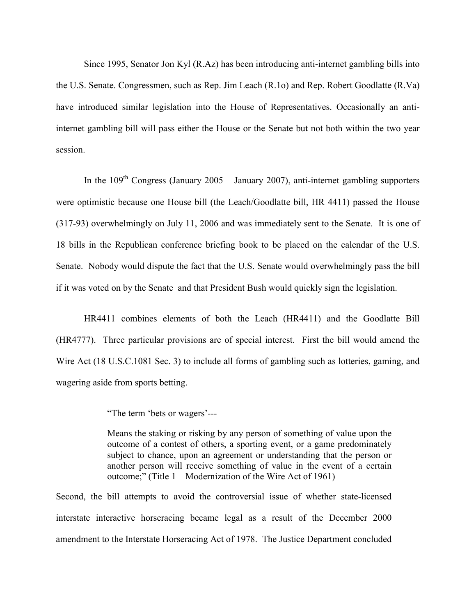Since 1995, Senator Jon Kyl (R.Az) has been introducing anti-internet gambling bills into the U.S. Senate. Congressmen, such as Rep. Jim Leach (R.1o) and Rep. Robert Goodlatte (R.Va) have introduced similar legislation into the House of Representatives. Occasionally an antiinternet gambling bill will pass either the House or the Senate but not both within the two year session.

In the  $109<sup>th</sup>$  Congress (January 2005 – January 2007), anti-internet gambling supporters were optimistic because one House bill (the Leach/Goodlatte bill, HR 4411) passed the House (317-93) overwhelmingly on July 11, 2006 and was immediately sent to the Senate. It is one of 18 bills in the Republican conference briefing book to be placed on the calendar of the U.S. Senate. Nobody would dispute the fact that the U.S. Senate would overwhelmingly pass the bill if it was voted on by the Senate and that President Bush would quickly sign the legislation.

HR4411 combines elements of both the Leach (HR4411) and the Goodlatte Bill (HR4777). Three particular provisions are of special interest. First the bill would amend the Wire Act (18 U.S.C.1081 Sec. 3) to include all forms of gambling such as lotteries, gaming, and wagering aside from sports betting.

"The term 'bets or wagers'---

Means the staking or risking by any person of something of value upon the outcome of a contest of others, a sporting event, or a game predominately subject to chance, upon an agreement or understanding that the person or another person will receive something of value in the event of a certain outcome;" (Title 1 – Modernization of the Wire Act of 1961)

Second, the bill attempts to avoid the controversial issue of whether state-licensed interstate interactive horseracing became legal as a result of the December 2000 amendment to the Interstate Horseracing Act of 1978. The Justice Department concluded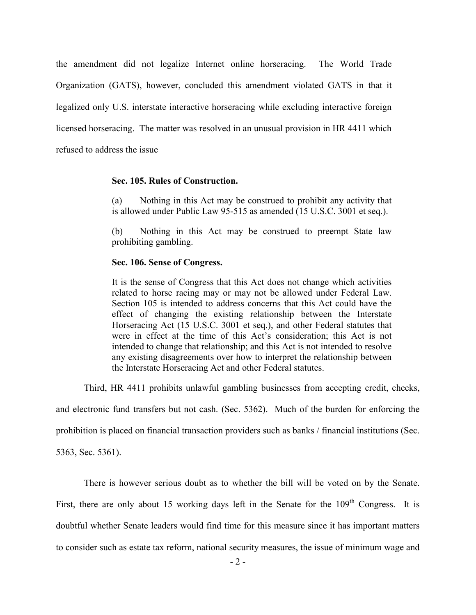the amendment did not legalize Internet online horseracing. The World Trade Organization (GATS), however, concluded this amendment violated GATS in that it legalized only U.S. interstate interactive horseracing while excluding interactive foreign licensed horseracing. The matter was resolved in an unusual provision in HR 4411 which refused to address the issue

## **Sec. 105. Rules of Construction.**

(a) Nothing in this Act may be construed to prohibit any activity that is allowed under Public Law 95-515 as amended (15 U.S.C. 3001 et seq.).

(b) Nothing in this Act may be construed to preempt State law prohibiting gambling.

## **Sec. 106. Sense of Congress.**

It is the sense of Congress that this Act does not change which activities related to horse racing may or may not be allowed under Federal Law. Section 105 is intended to address concerns that this Act could have the effect of changing the existing relationship between the Interstate Horseracing Act (15 U.S.C. 3001 et seq.), and other Federal statutes that were in effect at the time of this Act's consideration; this Act is not intended to change that relationship; and this Act is not intended to resolve any existing disagreements over how to interpret the relationship between the Interstate Horseracing Act and other Federal statutes.

Third, HR 4411 prohibits unlawful gambling businesses from accepting credit, checks,

and electronic fund transfers but not cash. (Sec. 5362). Much of the burden for enforcing the

prohibition is placed on financial transaction providers such as banks / financial institutions (Sec.

5363, Sec. 5361).

There is however serious doubt as to whether the bill will be voted on by the Senate.

First, there are only about 15 working days left in the Senate for the  $109<sup>th</sup>$  Congress. It is

doubtful whether Senate leaders would find time for this measure since it has important matters

to consider such as estate tax reform, national security measures, the issue of minimum wage and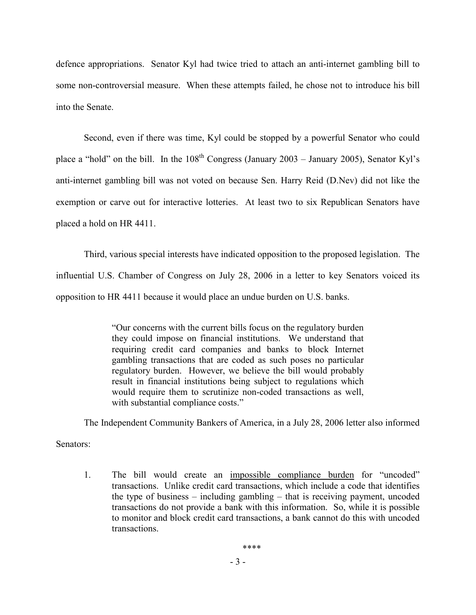defence appropriations. Senator Kyl had twice tried to attach an anti-internet gambling bill to some non-controversial measure. When these attempts failed, he chose not to introduce his bill into the Senate.

Second, even if there was time, Kyl could be stopped by a powerful Senator who could place a "hold" on the bill. In the  $108<sup>th</sup>$  Congress (January 2003 – January 2005), Senator Kyl's anti-internet gambling bill was not voted on because Sen. Harry Reid (D.Nev) did not like the exemption or carve out for interactive lotteries. At least two to six Republican Senators have placed a hold on HR 4411.

Third, various special interests have indicated opposition to the proposed legislation. The influential U.S. Chamber of Congress on July 28, 2006 in a letter to key Senators voiced its opposition to HR 4411 because it would place an undue burden on U.S. banks.

> "Our concerns with the current bills focus on the regulatory burden they could impose on financial institutions. We understand that requiring credit card companies and banks to block Internet gambling transactions that are coded as such poses no particular regulatory burden. However, we believe the bill would probably result in financial institutions being subject to regulations which would require them to scrutinize non-coded transactions as well, with substantial compliance costs."

The Independent Community Bankers of America, in a July 28, 2006 letter also informed

Senators:

1. The bill would create an impossible compliance burden for "uncoded" transactions. Unlike credit card transactions, which include a code that identifies the type of business – including gambling – that is receiving payment, uncoded transactions do not provide a bank with this information. So, while it is possible to monitor and block credit card transactions, a bank cannot do this with uncoded transactions.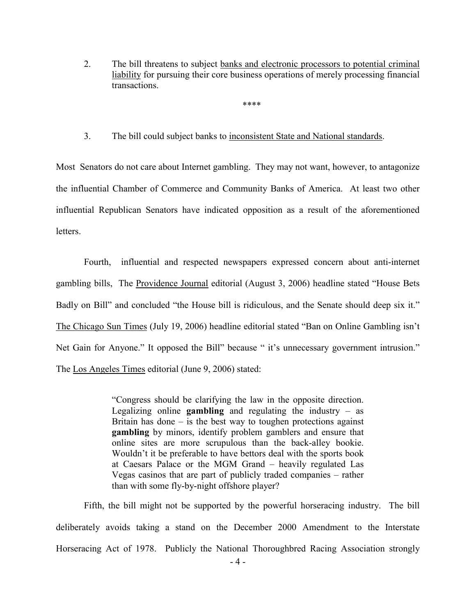2. The bill threatens to subject banks and electronic processors to potential criminal liability for pursuing their core business operations of merely processing financial transactions.

\*\*\*\*

3. The bill could subject banks to inconsistent State and National standards.

Most Senators do not care about Internet gambling. They may not want, however, to antagonize the influential Chamber of Commerce and Community Banks of America. At least two other influential Republican Senators have indicated opposition as a result of the aforementioned letters.

Fourth, influential and respected newspapers expressed concern about anti-internet gambling bills, The Providence Journal editorial (August 3, 2006) headline stated "House Bets Badly on Bill" and concluded "the House bill is ridiculous, and the Senate should deep six it." The Chicago Sun Times (July 19, 2006) headline editorial stated "Ban on Online Gambling isn't Net Gain for Anyone." It opposed the Bill" because " it's unnecessary government intrusion." The Los Angeles Times editorial (June 9, 2006) stated:

> "Congress should be clarifying the law in the opposite direction. Legalizing online **gambling** and regulating the industry – as Britain has done  $-$  is the best way to toughen protections against **gambling** by minors, identify problem gamblers and ensure that online sites are more scrupulous than the back-alley bookie. Wouldn't it be preferable to have bettors deal with the sports book at Caesars Palace or the MGM Grand – heavily regulated Las Vegas casinos that are part of publicly traded companies – rather than with some fly-by-night offshore player?

Fifth, the bill might not be supported by the powerful horseracing industry. The bill deliberately avoids taking a stand on the December 2000 Amendment to the Interstate Horseracing Act of 1978. Publicly the National Thoroughbred Racing Association strongly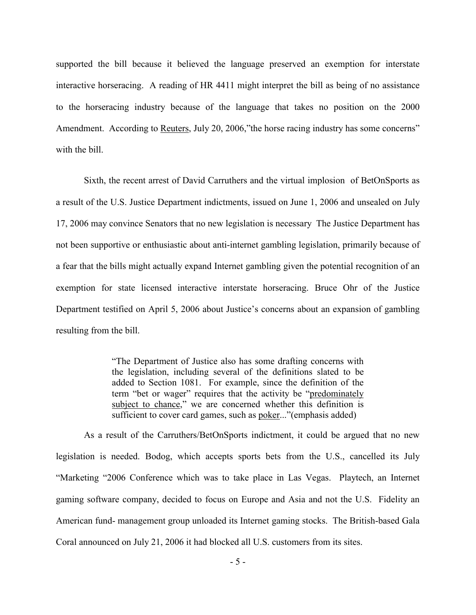supported the bill because it believed the language preserved an exemption for interstate interactive horseracing. A reading of HR 4411 might interpret the bill as being of no assistance to the horseracing industry because of the language that takes no position on the 2000 Amendment. According to Reuters, July 20, 2006, "the horse racing industry has some concerns" with the bill.

Sixth, the recent arrest of David Carruthers and the virtual implosion of BetOnSports as a result of the U.S. Justice Department indictments, issued on June 1, 2006 and unsealed on July 17, 2006 may convince Senators that no new legislation is necessary The Justice Department has not been supportive or enthusiastic about anti-internet gambling legislation, primarily because of a fear that the bills might actually expand Internet gambling given the potential recognition of an exemption for state licensed interactive interstate horseracing. Bruce Ohr of the Justice Department testified on April 5, 2006 about Justice's concerns about an expansion of gambling resulting from the bill.

> "The Department of Justice also has some drafting concerns with the legislation, including several of the definitions slated to be added to Section 1081. For example, since the definition of the term "bet or wager" requires that the activity be "predominately subject to chance," we are concerned whether this definition is sufficient to cover card games, such as poker..."(emphasis added)

As a result of the Carruthers/BetOnSports indictment, it could be argued that no new legislation is needed. Bodog, which accepts sports bets from the U.S., cancelled its July "Marketing "2006 Conference which was to take place in Las Vegas. Playtech, an Internet gaming software company, decided to focus on Europe and Asia and not the U.S. Fidelity an American fund- management group unloaded its Internet gaming stocks. The British-based Gala Coral announced on July 21, 2006 it had blocked all U.S. customers from its sites.